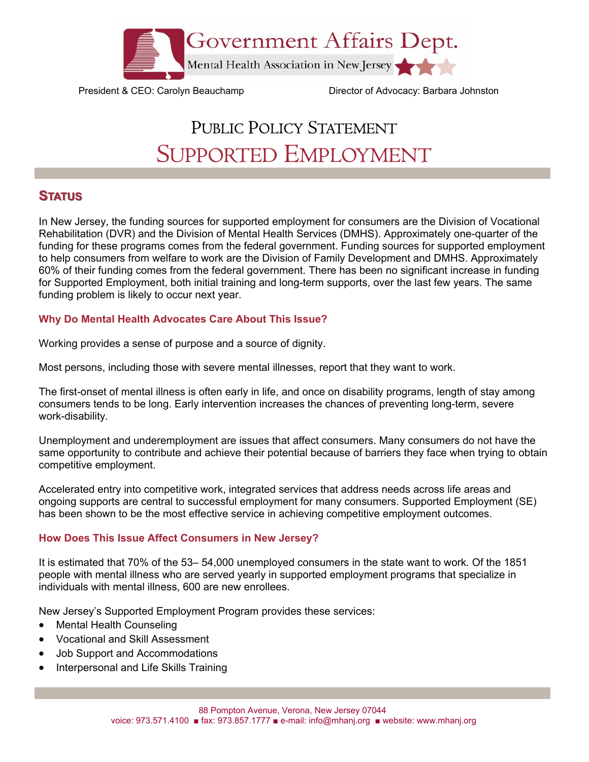

President & CEO: Carolyn Beauchamp Director of Advocacy: Barbara Johnston

# PUBLIC POLICY STATEMENT SUPPORTED EMPLOYMENT

## **STATUS**

In New Jersey, the funding sources for supported employment for consumers are the Division of Vocational Rehabilitation (DVR) and the Division of Mental Health Services (DMHS). Approximately one-quarter of the funding for these programs comes from the federal government. Funding sources for supported employment to help consumers from welfare to work are the Division of Family Development and DMHS. Approximately 60% of their funding comes from the federal government. There has been no significant increase in funding for Supported Employment, both initial training and long-term supports, over the last few years. The same funding problem is likely to occur next year.

#### **Why Do Mental Health Advocates Care About This Issue?**

Working provides a sense of purpose and a source of dignity.

Most persons, including those with severe mental illnesses, report that they want to work.

The first-onset of mental illness is often early in life, and once on disability programs, length of stay among consumers tends to be long. Early intervention increases the chances of preventing long-term, severe work-disability.

Unemployment and underemployment are issues that affect consumers. Many consumers do not have the same opportunity to contribute and achieve their potential because of barriers they face when trying to obtain competitive employment.

Accelerated entry into competitive work, integrated services that address needs across life areas and ongoing supports are central to successful employment for many consumers. Supported Employment (SE) has been shown to be the most effective service in achieving competitive employment outcomes.

### **How Does This Issue Affect Consumers in New Jersey?**

It is estimated that 70% of the 53– 54,000 unemployed consumers in the state want to work. Of the 1851 people with mental illness who are served yearly in supported employment programs that specialize in individuals with mental illness, 600 are new enrollees.

New Jersey's Supported Employment Program provides these services:

- Mental Health Counseling
- Vocational and Skill Assessment
- Job Support and Accommodations
- Interpersonal and Life Skills Training